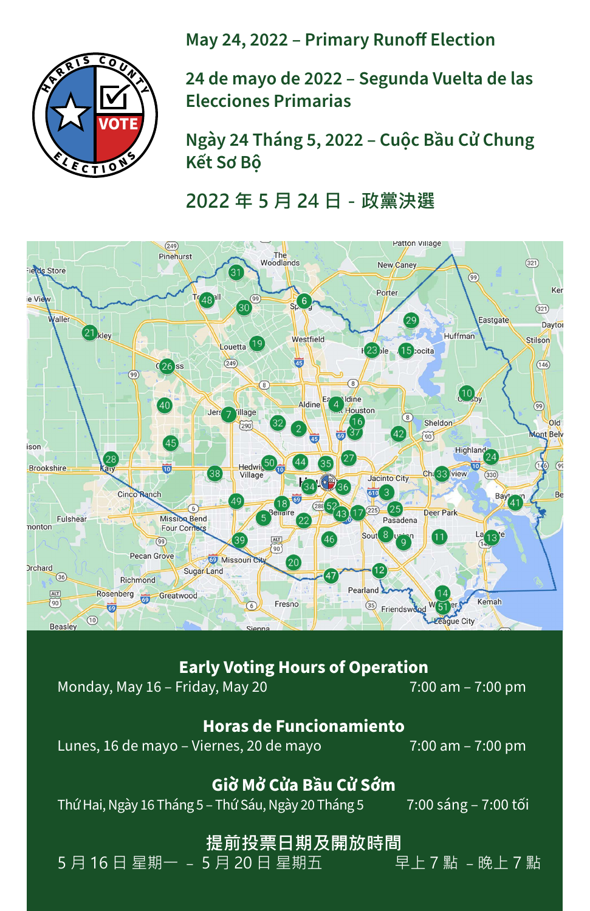**Early Voting Hours of Operation**

# Monday, May 16 – Friday, May 20 7:00 am – 7:00 pm

#### **Horas de Funcionamiento**

Lunes, 16 de mayo – Viernes, 20 de mayo 7:00 am – 7:00 pm

### **Giờ Mở Cửa Bầu Cử Sớm** Thứ Hai, Ngày 16 Tháng 5 – Thứ Sáu, Ngày 20 Tháng 5 7:00 sáng – 7:00 tối

### **提前投票日期及開放時間**<br>5 月 20 日 星期五 早上 7 點 -晚上 7 點 5 月 16 日 星期一 - 5 月 20 日 星期五



**May 24, 2022 – Primary Runoff Election**

**24 de mayo de 2022 – Segunda Vuelta de las Elecciones Primarias**

**Ngày 24 Tháng 5, 2022 – Cuộc Bầu Cử Chung Kết Sơ Bộ**

**2022 年 5 月 24 日-政黨決選**